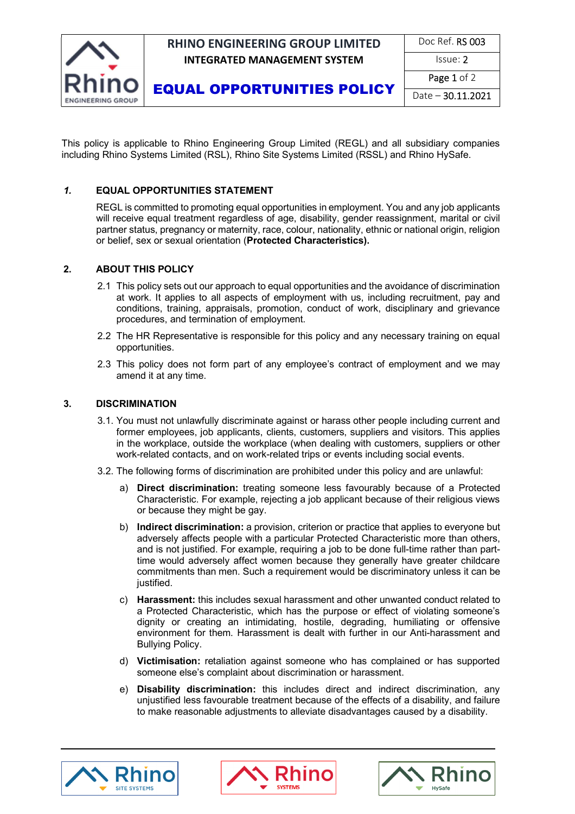

## **RHINO ENGINEERING GROUP LIMITED INTEGRATED MANAGEMENT SYSTEM ISSUE: 2**

| Doc Ref. RS 003 |
|-----------------|
|-----------------|

EQUAL OPPORTUNITIES POLICY

Page 1 of 2

Date – 30.11.2021

This policy is applicable to Rhino Engineering Group Limited (REGL) and all subsidiary companies including Rhino Systems Limited (RSL), Rhino Site Systems Limited (RSSL) and Rhino HySafe.

#### *1.* **EQUAL OPPORTUNITIES STATEMENT**

REGL is committed to promoting equal opportunities in employment. You and any job applicants will receive equal treatment regardless of age, disability, gender reassignment, marital or civil partner status, pregnancy or maternity, race, colour, nationality, ethnic or national origin, religion or belief, sex or sexual orientation (**Protected Characteristics).** 

#### **2. ABOUT THIS POLICY**

- 2.1 This policy sets out our approach to equal opportunities and the avoidance of discrimination at work. It applies to all aspects of employment with us, including recruitment, pay and conditions, training, appraisals, promotion, conduct of work, disciplinary and grievance procedures, and termination of employment.
- 2.2 The HR Representative is responsible for this policy and any necessary training on equal opportunities.
- 2.3 This policy does not form part of any employee's contract of employment and we may amend it at any time.

#### **3. DISCRIMINATION**

- 3.1. You must not unlawfully discriminate against or harass other people including current and former employees, job applicants, clients, customers, suppliers and visitors. This applies in the workplace, outside the workplace (when dealing with customers, suppliers or other work-related contacts, and on work-related trips or events including social events.
- 3.2. The following forms of discrimination are prohibited under this policy and are unlawful:
	- a) **Direct discrimination:** treating someone less favourably because of a Protected Characteristic. For example, rejecting a job applicant because of their religious views or because they might be gay.
	- b) **Indirect discrimination:** a provision, criterion or practice that applies to everyone but adversely affects people with a particular Protected Characteristic more than others, and is not justified. For example, requiring a job to be done full-time rather than parttime would adversely affect women because they generally have greater childcare commitments than men. Such a requirement would be discriminatory unless it can be justified.
	- c) **Harassment:** this includes sexual harassment and other unwanted conduct related to a Protected Characteristic, which has the purpose or effect of violating someone's dignity or creating an intimidating, hostile, degrading, humiliating or offensive environment for them. Harassment is dealt with further in our Anti-harassment and Bullying Policy.
	- d) **Victimisation:** retaliation against someone who has complained or has supported someone else's complaint about discrimination or harassment.
	- e) **Disability discrimination:** this includes direct and indirect discrimination, any unjustified less favourable treatment because of the effects of a disability, and failure to make reasonable adjustments to alleviate disadvantages caused by a disability.